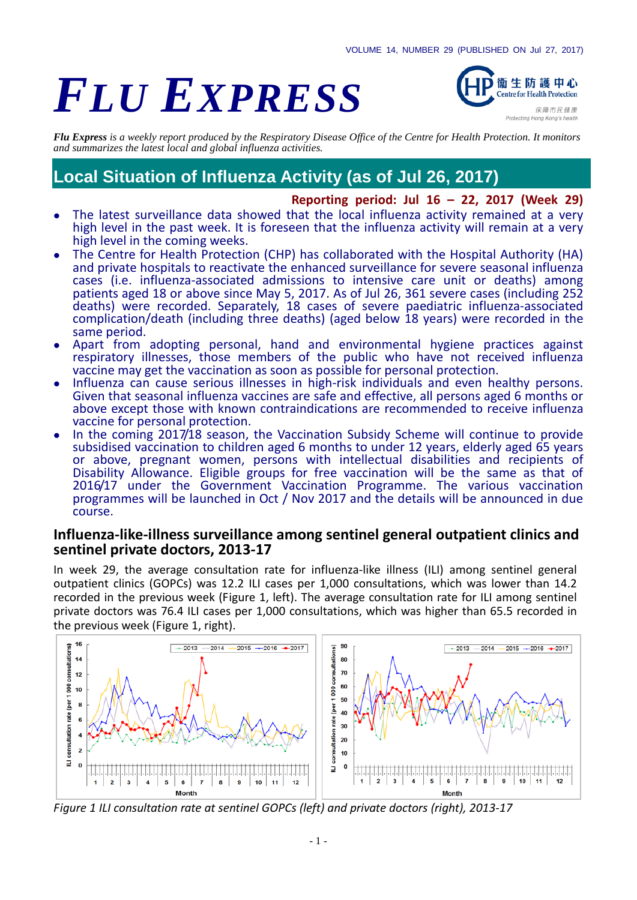# *FLU EXPRESS*



*Flu Express is a weekly report produced by the Respiratory Disease Office of the Centre for Health Protection. It monitors and summarizes the latest local and global influenza activities.*

# **Local Situation of Influenza Activity (as of Jul 26, 2017)**

**Reporting period: Jul 16 – 22, 2017 (Week 29)** 

- The latest surveillance data showed that the local influenza activity remained at a very high level in the past week. It is foreseen that the influenza activity will remain at a very high level in the coming weeks.
- The Centre for Health Protection (CHP) has collaborated with the Hospital Authority (HA) and private hospitals to reactivate the enhanced surveillance for severe seasonal influenza cases (i.e. influenza-associated admissions to intensive care unit or deaths) among patients aged 18 or above since May 5, 2017. As of Jul 26, 361 severe cases (including 252 deaths) were recorded. Separately, 18 cases of severe paediatric influenza-associated complication/death (including three deaths) (aged below 18 years) were recorded in the same period.
- Apart from adopting personal, hand and environmental hygiene practices against respiratory illnesses, those members of the public who have not received influenza vaccine may get the vaccination as soon as possible for personal protection.
- Influenza can cause serious illnesses in high-risk individuals and even healthy persons. Given that seasonal influenza vaccines are safe and effective, all persons aged 6 months or above except those with known contraindications are recommended to receive influenza vaccine for personal protection.
- In the coming 2017/18 season, the Vaccination Subsidy Scheme will continue to provide subsidised vaccination to children aged 6 months to under 12 years, elderly aged 65 years or above, pregnant women, persons with intellectual disabilities and recipients of Disability Allowance. Eligible groups for free vaccination will be the same as that of 2016/17 under the Government Vaccination Programme. The various vaccination programmes will be launched in Oct / Nov 2017 and the details will be announced in due course.

#### **Influenza-like-illness surveillance among sentinel general outpatient clinics and sentinel private doctors, 2013-17**

In week 29, the average consultation rate for influenza-like illness (ILI) among sentinel general outpatient clinics (GOPCs) was 12.2 ILI cases per 1,000 consultations, which was lower than 14.2 recorded in the previous week (Figure 1, left). The average consultation rate for ILI among sentinel private doctors was 76.4 ILI cases per 1,000 consultations, which was higher than 65.5 recorded in the previous week (Figure 1, right).



*Figure 1 ILI consultation rate at sentinel GOPCs (left) and private doctors (right), 2013-17*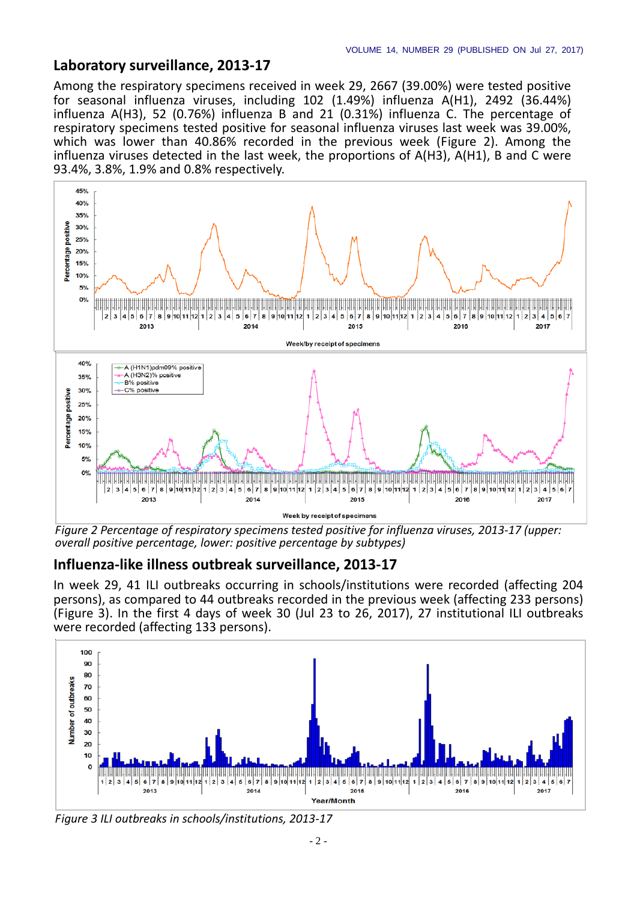#### **Laboratory surveillance, 2013-17**

Among the respiratory specimens received in week 29, 2667 (39.00%) were tested positive for seasonal influenza viruses, including 102 (1.49%) influenza A(H1), 2492 (36.44%) influenza A(H3), 52 (0.76%) influenza B and 21 (0.31%) influenza C. The percentage of respiratory specimens tested positive for seasonal influenza viruses last week was 39.00%, which was lower than 40.86% recorded in the previous week (Figure 2). Among the influenza viruses detected in the last week, the proportions of A(H3), A(H1), B and C were 93.4%, 3.8%, 1.9% and 0.8% respectively.



*Figure 2 Percentage of respiratory specimens tested positive for influenza viruses, 2013-17 (upper: overall positive percentage, lower: positive percentage by subtypes)*

#### **Influenza-like illness outbreak surveillance, 2013-17**

In week 29, 41 ILI outbreaks occurring in schools/institutions were recorded (affecting 204 persons), as compared to 44 outbreaks recorded in the previous week (affecting 233 persons) (Figure 3). In the first 4 days of week 30 (Jul 23 to 26, 2017), 27 institutional ILI outbreaks were recorded (affecting 133 persons).



*Figure 3 ILI outbreaks in schools/institutions, 2013-17*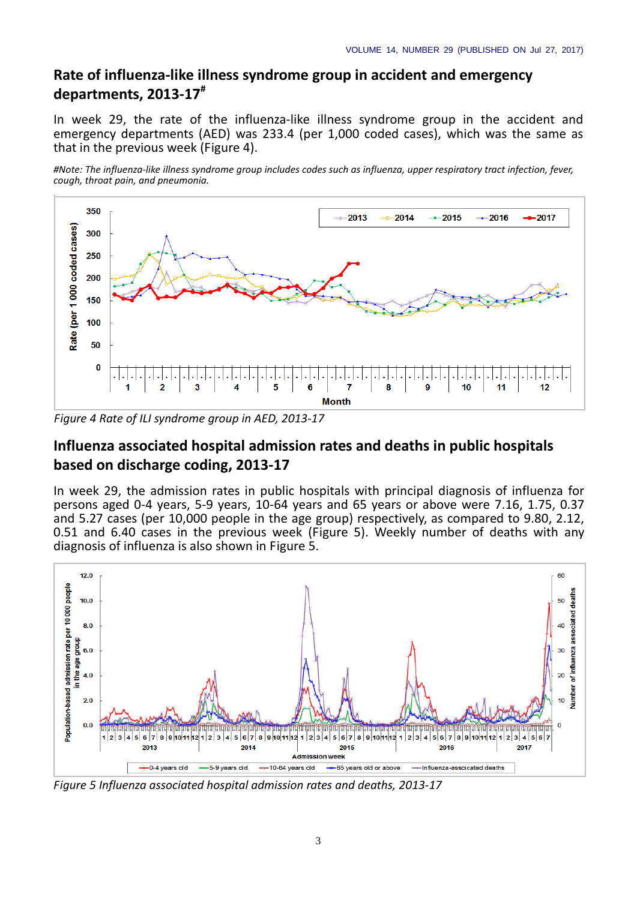## **Rate of influenza-like illness syndrome group in accident and emergency departments, 2013-17#**

In week 29, the rate of the influenza-like illness syndrome group in the accident and emergency departments (AED) was 233.4 (per 1,000 coded cases), which was the same as that in the previous week (Figure 4).

*#Note: The influenza-like illness syndrome group includes codes such as influenza, upper respiratory tract infection, fever, cough, throat pain, and pneumonia.*



*Figure 4 Rate of ILI syndrome group in AED, 2013-17*

## **Influenza associated hospital admission rates and deaths in public hospitals based on discharge coding, 2013-17**

In week 29, the admission rates in public hospitals with principal diagnosis of influenza for persons aged 0-4 years, 5-9 years, 10-64 years and 65 years or above were 7.16, 1.75, 0.37 and 5.27 cases (per 10,000 people in the age group) respectively, as compared to 9.80, 2.12, 0.51 and 6.40 cases in the previous week (Figure 5). Weekly number of deaths with any diagnosis of influenza is also shown in Figure 5.



*Figure 5 Influenza associated hospital admission rates and deaths, 2013-17*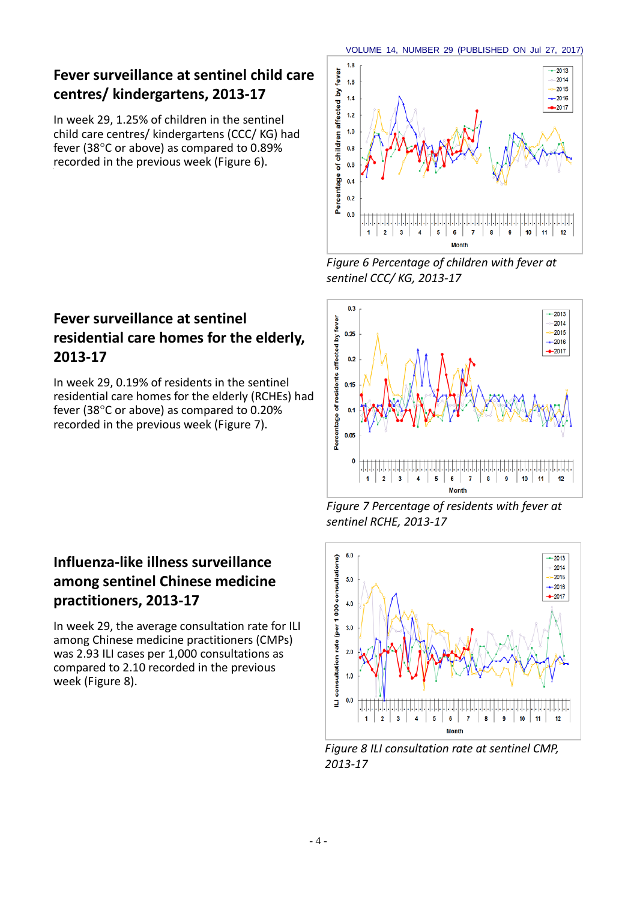## **Fever surveillance at sentinel child care centres/ kindergartens, 2013-17**

In week 29, 1.25% of children in the sentinel child care centres/ kindergartens (CCC/ KG) had fever (38°C or above) as compared to 0.89% recorded in the previous week (Figure 6).

## **Fever surveillance at sentinel residential care homes for the elderly, 2013-17**

In week 29, 0.19% of residents in the sentinel residential care homes for the elderly (RCHEs) had fever (38°C or above) as compared to 0.20% recorded in the previous week (Figure 7).

## **Influenza-like illness surveillance among sentinel Chinese medicine practitioners, 2013-17**

In week 29, the average consultation rate for ILI among Chinese medicine practitioners (CMPs) was 2.93 ILI cases per 1,000 consultations as compared to 2.10 recorded in the previous week (Figure 8).



*Figure 6 Percentage of children with fever at sentinel CCC/ KG, 2013-17*



*Figure 7 Percentage of residents with fever at sentinel RCHE, 2013-17*



*Figure 8 ILI consultation rate at sentinel CMP, 2013-17*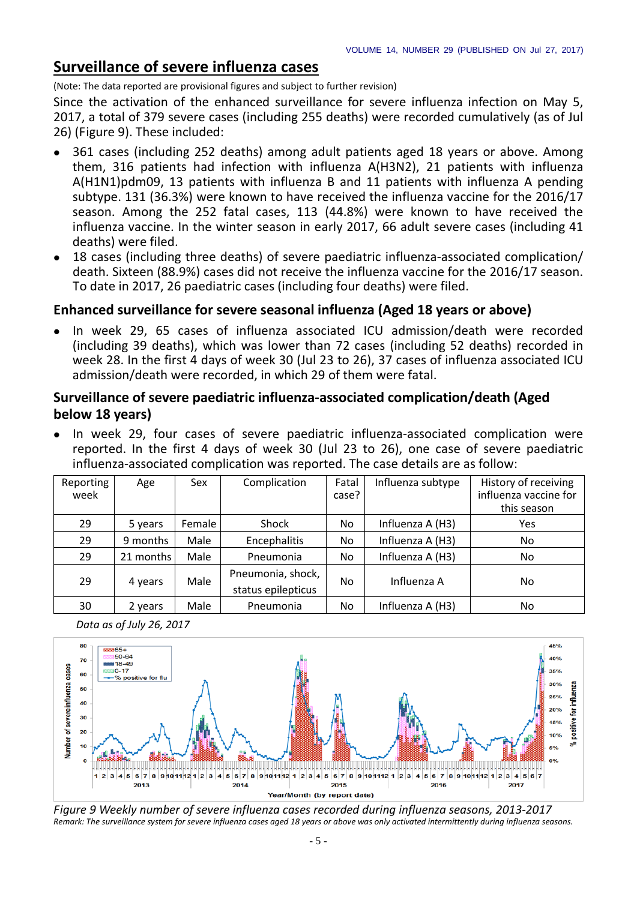positive for influenza

## **Surveillance of severe influenza cases**

*Data as of July 26, 2017*

(Note: The data reported are provisional figures and subject to further revision)

Since the activation of the enhanced surveillance for severe influenza infection on May 5, 2017, a total of 379 severe cases (including 255 deaths) were recorded cumulatively (as of Jul 26) (Figure 9). These included:

- 361 cases (including 252 deaths) among adult patients aged 18 years or above. Among them, 316 patients had infection with influenza A(H3N2), 21 patients with influenza A(H1N1)pdm09, 13 patients with influenza B and 11 patients with influenza A pending subtype. 131 (36.3%) were known to have received the influenza vaccine for the 2016/17 season. Among the 252 fatal cases, 113 (44.8%) were known to have received the influenza vaccine. In the winter season in early 2017, 66 adult severe cases (including 41 deaths) were filed.
- 18 cases (including three deaths) of severe paediatric influenza-associated complication/ death. Sixteen (88.9%) cases did not receive the influenza vaccine for the 2016/17 season. To date in 2017, 26 paediatric cases (including four deaths) were filed.

### **Enhanced surveillance for severe seasonal influenza (Aged 18 years or above)**

• In week 29, 65 cases of influenza associated ICU admission/death were recorded (including 39 deaths), which was lower than 72 cases (including 52 deaths) recorded in week 28. In the first 4 days of week 30 (Jul 23 to 26), 37 cases of influenza associated ICU admission/death were recorded, in which 29 of them were fatal.

### **Surveillance of severe paediatric influenza-associated complication/death (Aged below 18 years)**

 In week 29, four cases of severe paediatric influenza-associated complication were reported. In the first 4 days of week 30 (Jul 23 to 26), one case of severe paediatric influenza-associated complication was reported. The case details are as follow:

| Reporting<br>week | Age       | Sex    | Complication                            | Fatal<br>case? | Influenza subtype | History of receiving<br>influenza vaccine for<br>this season |
|-------------------|-----------|--------|-----------------------------------------|----------------|-------------------|--------------------------------------------------------------|
| 29                | 5 years   | Female | Shock                                   | No.            | Influenza A (H3)  | Yes                                                          |
| 29                | 9 months  | Male   | Encephalitis                            | No.            | Influenza A (H3)  | N <sub>o</sub>                                               |
| 29                | 21 months | Male   | Pneumonia                               | No.            | Influenza A (H3)  | No.                                                          |
| 29                | 4 years   | Male   | Pneumonia, shock,<br>status epilepticus | No.            | Influenza A       | No                                                           |
| 30                | 2 years   | Male   | Pneumonia                               | No             | Influenza A (H3)  | No                                                           |



*Figure 9 Weekly number of severe influenza cases recorded during influenza seasons, 2013-2017 Remark: The surveillance system for severe influenza cases aged 18 years or above was only activated intermittently during influenza seasons.*